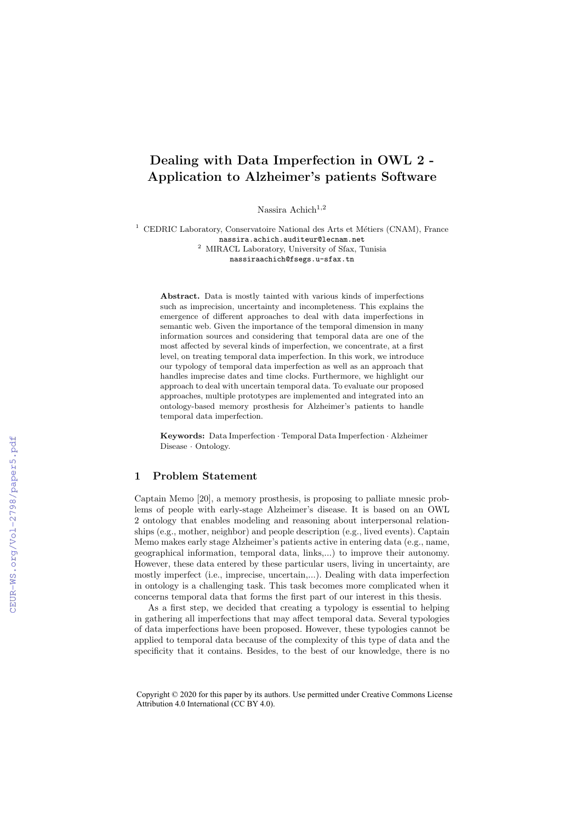# Dealing with Data Imperfection in OWL 2 - Application to Alzheimer's patients Software

Nassira Achich<sup>1,2</sup>

 $1$  CEDRIC Laboratory, Conservatoire National des Arts et Métiers (CNAM), France nassira.achich.auditeur@lecnam.net  $^{\rm 2}$  MIRACL Laboratory, University of Sfax, Tunisia nassiraachich@fsegs.u-sfax.tn

Abstract. Data is mostly tainted with various kinds of imperfections such as imprecision, uncertainty and incompleteness. This explains the emergence of different approaches to deal with data imperfections in semantic web. Given the importance of the temporal dimension in many information sources and considering that temporal data are one of the most affected by several kinds of imperfection, we concentrate, at a first level, on treating temporal data imperfection. In this work, we introduce our typology of temporal data imperfection as well as an approach that handles imprecise dates and time clocks. Furthermore, we highlight our approach to deal with uncertain temporal data. To evaluate our proposed approaches, multiple prototypes are implemented and integrated into an ontology-based memory prosthesis for Alzheimer's patients to handle temporal data imperfection.

Keywords: Data Imperfection *·* Temporal Data Imperfection *·* Alzheimer Disease *·* Ontology.

# 1 Problem Statement

Captain Memo [20], a memory prosthesis, is proposing to palliate mnesic problems of people with early-stage Alzheimer's disease. It is based on an OWL 2 ontology that enables modeling and reasoning about interpersonal relationships (e.g., mother, neighbor) and people description (e.g., lived events). Captain Memo makes early stage Alzheimer's patients active in entering data (e.g., name, geographical information, temporal data, links,...) to improve their autonomy. However, these data entered by these particular users, living in uncertainty, are mostly imperfect (i.e., imprecise, uncertain,...). Dealing with data imperfection in ontology is a challenging task. This task becomes more complicated when it concerns temporal data that forms the first part of our interest in this thesis.

As a first step, we decided that creating a typology is essential to helping in gathering all imperfections that may affect temporal data. Several typologies of data imperfections have been proposed. However, these typologies cannot be applied to temporal data because of the complexity of this type of data and the specificity that it contains. Besides, to the best of our knowledge, there is no

Copyright © 2020 for this paper by its authors. Use permitted under Creative Commons License Attribution 4.0 International (CC BY 4.0).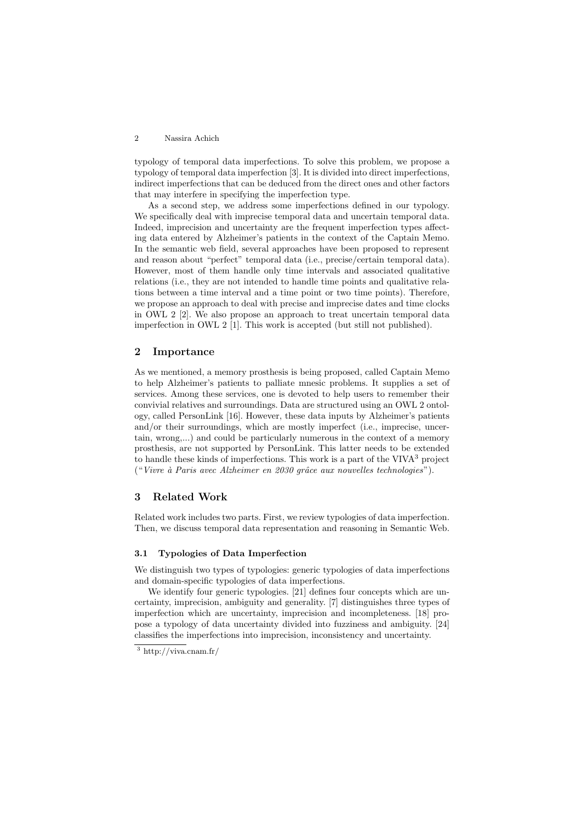typology of temporal data imperfections. To solve this problem, we propose a typology of temporal data imperfection [3]. It is divided into direct imperfections, indirect imperfections that can be deduced from the direct ones and other factors that may interfere in specifying the imperfection type.

As a second step, we address some imperfections defined in our typology. We specifically deal with imprecise temporal data and uncertain temporal data. Indeed, imprecision and uncertainty are the frequent imperfection types affecting data entered by Alzheimer's patients in the context of the Captain Memo. In the semantic web field, several approaches have been proposed to represent and reason about "perfect" temporal data (i.e., precise/certain temporal data). However, most of them handle only time intervals and associated qualitative relations (i.e., they are not intended to handle time points and qualitative relations between a time interval and a time point or two time points). Therefore, we propose an approach to deal with precise and imprecise dates and time clocks in OWL 2 [2]. We also propose an approach to treat uncertain temporal data imperfection in OWL 2 [1]. This work is accepted (but still not published).

## 2 Importance

As we mentioned, a memory prosthesis is being proposed, called Captain Memo to help Alzheimer's patients to palliate mnesic problems. It supplies a set of services. Among these services, one is devoted to help users to remember their convivial relatives and surroundings. Data are structured using an OWL 2 ontology, called PersonLink [16]. However, these data inputs by Alzheimer's patients and/or their surroundings, which are mostly imperfect (i.e., imprecise, uncertain, wrong,...) and could be particularly numerous in the context of a memory prosthesis, are not supported by PersonLink. This latter needs to be extended to handle these kinds of imperfections. This work is a part of the VIVA<sup>3</sup> project ("*Vivre `a Paris avec Alzheimer en 2030 grˆace aux nouvelles technologies*").

# 3 Related Work

Related work includes two parts. First, we review typologies of data imperfection. Then, we discuss temporal data representation and reasoning in Semantic Web.

### 3.1 Typologies of Data Imperfection

We distinguish two types of typologies: generic typologies of data imperfections and domain-specific typologies of data imperfections.

We identify four generic typologies. [21] defines four concepts which are uncertainty, imprecision, ambiguity and generality. [7] distinguishes three types of imperfection which are uncertainty, imprecision and incompleteness. [18] propose a typology of data uncertainty divided into fuzziness and ambiguity. [24] classifies the imperfections into imprecision, inconsistency and uncertainty.

 $\sqrt{3}$  http://viva.cnam.fr/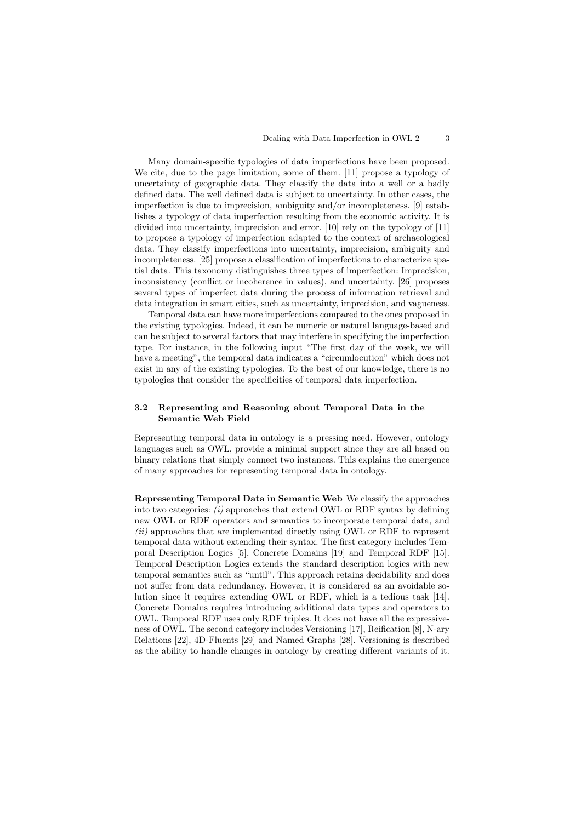Many domain-specific typologies of data imperfections have been proposed. We cite, due to the page limitation, some of them. [11] propose a typology of uncertainty of geographic data. They classify the data into a well or a badly defined data. The well defined data is subject to uncertainty. In other cases, the imperfection is due to imprecision, ambiguity and/or incompleteness. [9] establishes a typology of data imperfection resulting from the economic activity. It is divided into uncertainty, imprecision and error. [10] rely on the typology of [11] to propose a typology of imperfection adapted to the context of archaeological data. They classify imperfections into uncertainty, imprecision, ambiguity and incompleteness. [25] propose a classification of imperfections to characterize spatial data. This taxonomy distinguishes three types of imperfection: Imprecision, inconsistency (conflict or incoherence in values), and uncertainty. [26] proposes several types of imperfect data during the process of information retrieval and data integration in smart cities, such as uncertainty, imprecision, and vagueness.

Temporal data can have more imperfections compared to the ones proposed in the existing typologies. Indeed, it can be numeric or natural language-based and can be subject to several factors that may interfere in specifying the imperfection type. For instance, in the following input "The first day of the week, we will have a meeting", the temporal data indicates a "circumlocution" which does not exist in any of the existing typologies. To the best of our knowledge, there is no typologies that consider the specificities of temporal data imperfection.

### 3.2 Representing and Reasoning about Temporal Data in the Semantic Web Field

Representing temporal data in ontology is a pressing need. However, ontology languages such as OWL, provide a minimal support since they are all based on binary relations that simply connect two instances. This explains the emergence of many approaches for representing temporal data in ontology.

Representing Temporal Data in Semantic Web We classify the approaches into two categories: *(i)* approaches that extend OWL or RDF syntax by defining new OWL or RDF operators and semantics to incorporate temporal data, and *(ii)* approaches that are implemented directly using OWL or RDF to represent temporal data without extending their syntax. The first category includes Temporal Description Logics [5], Concrete Domains [19] and Temporal RDF [15]. Temporal Description Logics extends the standard description logics with new temporal semantics such as "until". This approach retains decidability and does not suffer from data redundancy. However, it is considered as an avoidable solution since it requires extending OWL or RDF, which is a tedious task [14]. Concrete Domains requires introducing additional data types and operators to OWL. Temporal RDF uses only RDF triples. It does not have all the expressiveness of OWL. The second category includes Versioning [17], Reification [8], N-ary Relations [22], 4D-Fluents [29] and Named Graphs [28]. Versioning is described as the ability to handle changes in ontology by creating different variants of it.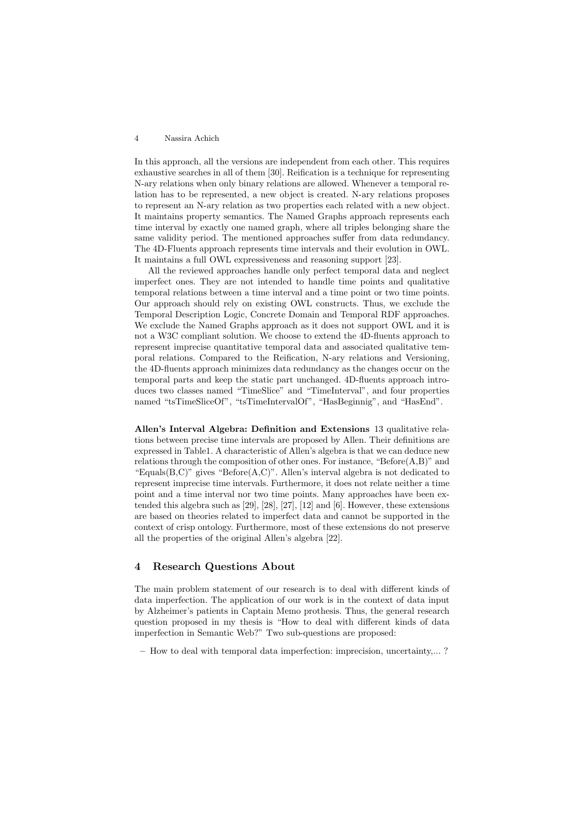In this approach, all the versions are independent from each other. This requires exhaustive searches in all of them [30]. Reification is a technique for representing N-ary relations when only binary relations are allowed. Whenever a temporal relation has to be represented, a new object is created. N-ary relations proposes to represent an N-ary relation as two properties each related with a new object. It maintains property semantics. The Named Graphs approach represents each time interval by exactly one named graph, where all triples belonging share the same validity period. The mentioned approaches suffer from data redundancy. The 4D-Fluents approach represents time intervals and their evolution in OWL. It maintains a full OWL expressiveness and reasoning support [23].

All the reviewed approaches handle only perfect temporal data and neglect imperfect ones. They are not intended to handle time points and qualitative temporal relations between a time interval and a time point or two time points. Our approach should rely on existing OWL constructs. Thus, we exclude the Temporal Description Logic, Concrete Domain and Temporal RDF approaches. We exclude the Named Graphs approach as it does not support OWL and it is not a W3C compliant solution. We choose to extend the 4D-fluents approach to represent imprecise quantitative temporal data and associated qualitative temporal relations. Compared to the Reification, N-ary relations and Versioning, the 4D-fluents approach minimizes data redundancy as the changes occur on the temporal parts and keep the static part unchanged. 4D-fluents approach introduces two classes named "TimeSlice" and "TimeInterval", and four properties named "tsTimeSliceOf", "tsTimeIntervalOf", "HasBeginnig", and "HasEnd".

Allen's Interval Algebra: Definition and Extensions 13 qualitative relations between precise time intervals are proposed by Allen. Their definitions are expressed in Table1. A characteristic of Allen's algebra is that we can deduce new relations through the composition of other ones. For instance, "Before $(A,B)$ " and "Equals $(B,C)$ " gives "Before $(A,C)$ ". Allen's interval algebra is not dedicated to represent imprecise time intervals. Furthermore, it does not relate neither a time point and a time interval nor two time points. Many approaches have been extended this algebra such as [29], [28], [27], [12] and [6]. However, these extensions are based on theories related to imperfect data and cannot be supported in the context of crisp ontology. Furthermore, most of these extensions do not preserve all the properties of the original Allen's algebra [22].

# 4 Research Questions About

The main problem statement of our research is to deal with different kinds of data imperfection. The application of our work is in the context of data input by Alzheimer's patients in Captain Memo prothesis. Thus, the general research question proposed in my thesis is "How to deal with different kinds of data imperfection in Semantic Web?" Two sub-questions are proposed:

– How to deal with temporal data imperfection: imprecision, uncertainty,... ?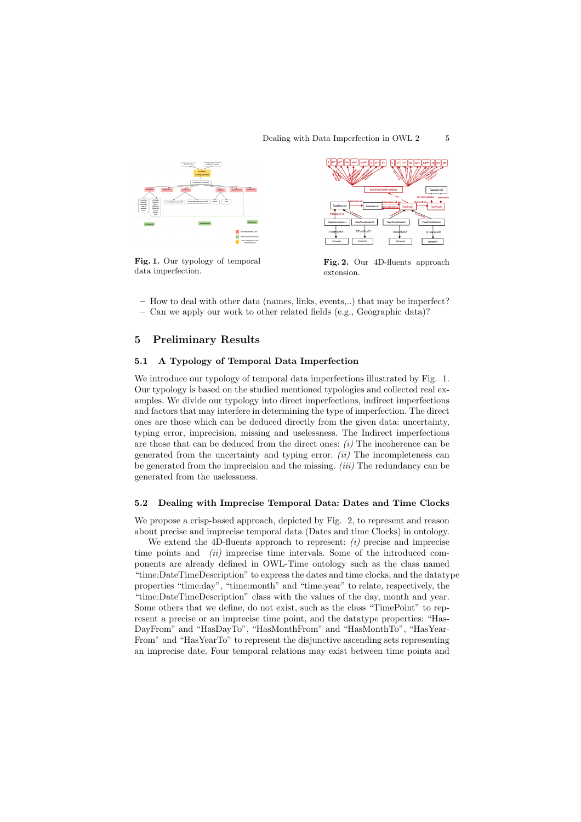#### Dealing with Data Imperfection in OWL 2 5



Fig. 1. Our typology of temporal data imperfection.

Fig. 2. Our 4D-fluents approach extension.

– How to deal with other data (names, links, events,..) that may be imperfect? – Can we apply our work to other related fields (e.g., Geographic data)?

# 5 Preliminary Results

### 5.1 A Typology of Temporal Data Imperfection

We introduce our typology of temporal data imperfections illustrated by Fig. 1. Our typology is based on the studied mentioned typologies and collected real examples. We divide our typology into direct imperfections, indirect imperfections and factors that may interfere in determining the type of imperfection. The direct ones are those which can be deduced directly from the given data: uncertainty, typing error, imprecision, missing and uselessness. The Indirect imperfections are those that can be deduced from the direct ones: *(i)* The incoherence can be generated from the uncertainty and typing error. *(ii)* The incompleteness can be generated from the imprecision and the missing. *(iii)* The redundancy can be generated from the uselessness.

#### 5.2 Dealing with Imprecise Temporal Data: Dates and Time Clocks

We propose a crisp-based approach, depicted by Fig. 2, to represent and reason about precise and imprecise temporal data (Dates and time Clocks) in ontology.

We extend the 4D-fluents approach to represent: *(i)* precise and imprecise time points and *(ii)* imprecise time intervals. Some of the introduced components are already defined in OWL-Time ontology such as the class named "time:DateTimeDescription" to express the dates and time clocks, and the datatype properties "time:day", "time:month" and "time:year" to relate, respectively, the "time:DateTimeDescription" class with the values of the day, month and year. Some others that we define, do not exist, such as the class "TimePoint" to represent a precise or an imprecise time point, and the datatype properties: "Has-DayFrom" and "HasDayTo", "HasMonthFrom" and "HasMonthTo", "HasYear-From" and "HasYearTo" to represent the disjunctive ascending sets representing an imprecise date. Four temporal relations may exist between time points and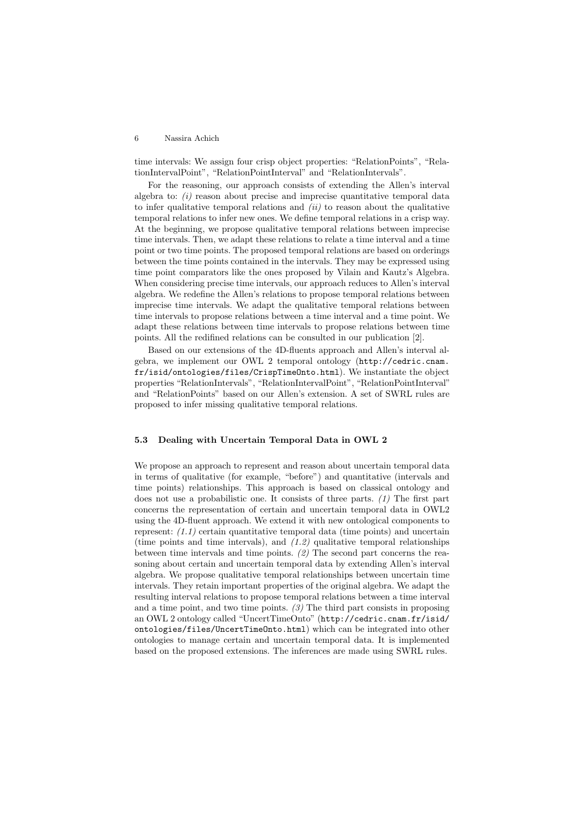time intervals: We assign four crisp object properties: "RelationPoints", "RelationIntervalPoint", "RelationPointInterval" and "RelationIntervals".

For the reasoning, our approach consists of extending the Allen's interval algebra to: *(i)* reason about precise and imprecise quantitative temporal data to infer qualitative temporal relations and *(ii)* to reason about the qualitative temporal relations to infer new ones. We define temporal relations in a crisp way. At the beginning, we propose qualitative temporal relations between imprecise time intervals. Then, we adapt these relations to relate a time interval and a time point or two time points. The proposed temporal relations are based on orderings between the time points contained in the intervals. They may be expressed using time point comparators like the ones proposed by Vilain and Kautz's Algebra. When considering precise time intervals, our approach reduces to Allen's interval algebra. We redefine the Allen's relations to propose temporal relations between imprecise time intervals. We adapt the qualitative temporal relations between time intervals to propose relations between a time interval and a time point. We adapt these relations between time intervals to propose relations between time points. All the redifined relations can be consulted in our publication [2].

Based on our extensions of the 4D-fluents approach and Allen's interval algebra, we implement our OWL 2 temporal ontology (http://cedric.cnam. fr/isid/ontologies/files/CrispTimeOnto.html). We instantiate the object properties "RelationIntervals", "RelationIntervalPoint", "RelationPointInterval" and "RelationPoints" based on our Allen's extension. A set of SWRL rules are proposed to infer missing qualitative temporal relations.

### 5.3 Dealing with Uncertain Temporal Data in OWL 2

We propose an approach to represent and reason about uncertain temporal data in terms of qualitative (for example, "before") and quantitative (intervals and time points) relationships. This approach is based on classical ontology and does not use a probabilistic one. It consists of three parts. *(1)* The first part concerns the representation of certain and uncertain temporal data in OWL2 using the 4D-fluent approach. We extend it with new ontological components to represent:  $(1.1)$  certain quantitative temporal data (time points) and uncertain (time points and time intervals), and *(1.2)* qualitative temporal relationships between time intervals and time points. *(2)* The second part concerns the reasoning about certain and uncertain temporal data by extending Allen's interval algebra. We propose qualitative temporal relationships between uncertain time intervals. They retain important properties of the original algebra. We adapt the resulting interval relations to propose temporal relations between a time interval and a time point, and two time points. *(3)* The third part consists in proposing an OWL 2 ontology called "UncertTimeOnto" (http://cedric.cnam.fr/isid/ ontologies/files/UncertTimeOnto.html) which can be integrated into other ontologies to manage certain and uncertain temporal data. It is implemented based on the proposed extensions. The inferences are made using SWRL rules.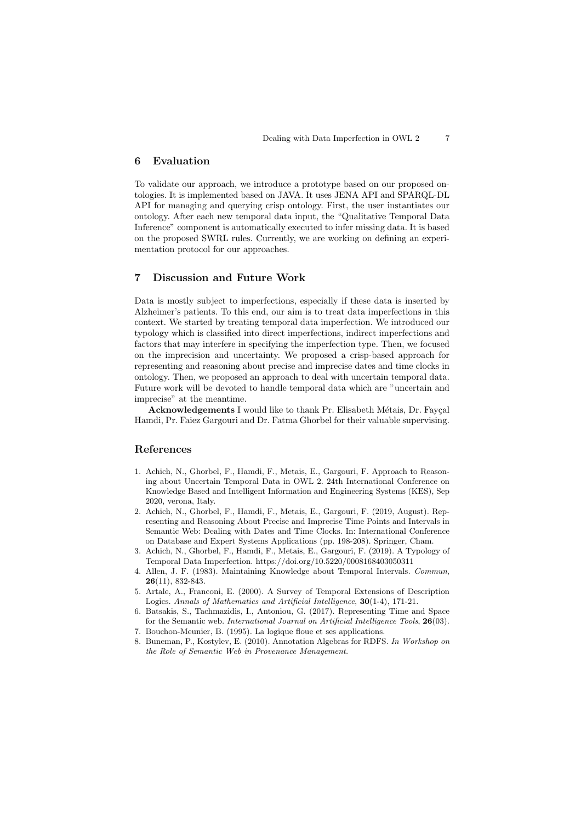### 6 Evaluation

To validate our approach, we introduce a prototype based on our proposed ontologies. It is implemented based on JAVA. It uses JENA API and SPARQL-DL API for managing and querying crisp ontology. First, the user instantiates our ontology. After each new temporal data input, the "Qualitative Temporal Data Inference" component is automatically executed to infer missing data. It is based on the proposed SWRL rules. Currently, we are working on defining an experimentation protocol for our approaches.

# 7 Discussion and Future Work

Data is mostly subject to imperfections, especially if these data is inserted by Alzheimer's patients. To this end, our aim is to treat data imperfections in this context. We started by treating temporal data imperfection. We introduced our typology which is classified into direct imperfections, indirect imperfections and factors that may interfere in specifying the imperfection type. Then, we focused on the imprecision and uncertainty. We proposed a crisp-based approach for representing and reasoning about precise and imprecise dates and time clocks in ontology. Then, we proposed an approach to deal with uncertain temporal data. Future work will be devoted to handle temporal data which are "uncertain and imprecise" at the meantime.

Acknowledgements I would like to thank Pr. Elisabeth Métais, Dr. Fayçal Hamdi, Pr. Faiez Gargouri and Dr. Fatma Ghorbel for their valuable supervising.

# References

- 1. Achich, N., Ghorbel, F., Hamdi, F., Metais, E., Gargouri, F. Approach to Reasoning about Uncertain Temporal Data in OWL 2. 24th International Conference on Knowledge Based and Intelligent Information and Engineering Systems (KES), Sep 2020, verona, Italy.
- 2. Achich, N., Ghorbel, F., Hamdi, F., Metais, E., Gargouri, F. (2019, August). Representing and Reasoning About Precise and Imprecise Time Points and Intervals in Semantic Web: Dealing with Dates and Time Clocks. In: International Conference on Database and Expert Systems Applications (pp. 198-208). Springer, Cham.
- 3. Achich, N., Ghorbel, F., Hamdi, F., Metais, E., Gargouri, F. (2019). A Typology of Temporal Data Imperfection. https://doi.org/10.5220/0008168403050311
- 4. Allen, J. F. (1983). Maintaining Knowledge about Temporal Intervals. *Commun*, 26(11), 832-843.
- 5. Artale, A., Franconi, E. (2000). A Survey of Temporal Extensions of Description Logics. *Annals of Mathematics and Artificial Intelligence*, 30(1-4), 171-21.
- 6. Batsakis, S., Tachmazidis, I., Antoniou, G. (2017). Representing Time and Space for the Semantic web. *International Journal on Artificial Intelligence Tools*, 26(03).
- 7. Bouchon-Meunier, B. (1995). La logique floue et ses applications.
- 8. Buneman, P., Kostylev, E. (2010). Annotation Algebras for RDFS. *In Workshop on the Role of Semantic Web in Provenance Management*.